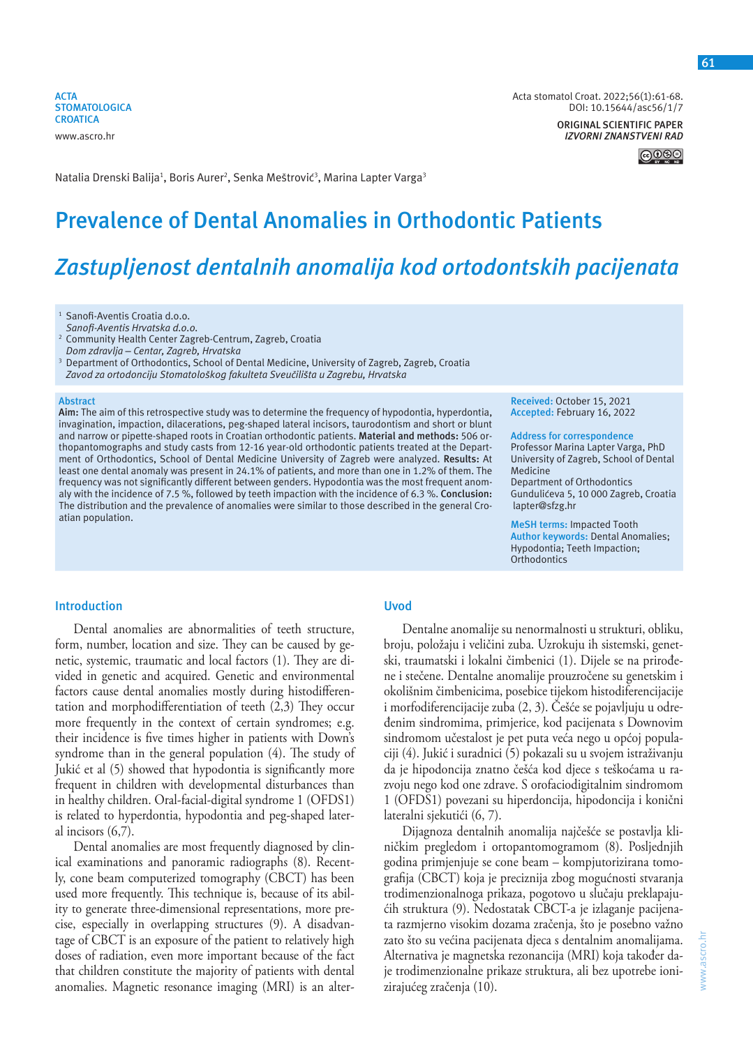**ACTA STOMATOLOGICA CROATICA** www.ascro.hr

Acta stomatol Croat. 2022;56(1):61-68. DOI: 10.15644/asc56/1/7

> **ORIGINAL SCIENTIFIC PAPER** *IZVORNI ZNANSTVENI RAD*

> > |@⊕�

Natalia Drenski Balija<sup>1</sup>, Boris Aurer<sup>2</sup>, Senka Meštrović<sup>3</sup>, Marina Lapter Varga<sup>3</sup>

# **Prevalence of Dental Anomalies in Orthodontic Patients**

# *Zastupljenost dentalnih anomalija kod ortodontskih pacijenata*

<sup>1</sup> Sanofi-Aventis Croatia d.o.o.

- *Sanofi-Aventis Hrvatska d.o.o.*
- 2 Community Health Center Zagreb-Centrum, Zagreb, Croatia

*Dom zdravlja – Centar, Zagreb, Hrvatska*

3 Department of Orthodontics, School of Dental Medicine, University of Zagreb, Zagreb, Croatia *Zavod za ortodonciju Stomatološkog fakulteta Sveučilišta u Zagrebu, Hrvatska*

#### **Abstract**

**Aim:** The aim of this retrospective study was to determine the frequency of hypodontia, hyperdontia, invagination, impaction, dilacerations, peg-shaped lateral incisors, taurodontism and short or blunt and narrow or pipette-shaped roots in Croatian orthodontic patients. **Material and methods:** 506 orthopantomographs and study casts from 12-16 year-old orthodontic patients treated at the Department of Orthodontics, School of Dental Medicine University of Zagreb were analyzed. **Results:** At least one dental anomaly was present in 24.1% of patients, and more than one in 1.2% of them. The frequency was not significantly different between genders. Hypodontia was the most frequent anomaly with the incidence of 7.5 %, followed by teeth impaction with the incidence of 6.3 %. **Conclusion:**  The distribution and the prevalence of anomalies were similar to those described in the general Croatian population.

#### **Received:** October 15, 2021 **Accepted:** February 16, 2022

## **Address for correspondence**

Professor Marina Lapter Varga, PhD University of Zagreb, School of Dental Medicine Department of Orthodontics Gundulićeva 5, 10 000 Zagreb, Croatia lapter@sfzg.hr

**MeSH terms:** Impacted Tooth **Author keywords:** Dental Anomalies; Hypodontia; Teeth Impaction; **Orthodontics** 

## **Introduction**

Dental anomalies are abnormalities of teeth structure, form, number, location and size. They can be caused by genetic, systemic, traumatic and local factors (1). They are divided in genetic and acquired. Genetic and environmental factors cause dental anomalies mostly during histodifferentation and morphodifferentiation of teeth (2,3) They occur more frequently in the context of certain syndromes; e.g. their incidence is five times higher in patients with Down's syndrome than in the general population (4). The study of Jukić et al (5) showed that hypodontia is significantly more frequent in children with developmental disturbances than in healthy children. Oral-facial-digital syndrome 1 (OFDS1) is related to hyperdontia, hypodontia and peg-shaped lateral incisors (6,7).

Dental anomalies are most frequently diagnosed by clinical examinations and panoramic radiographs (8). Recently, cone beam computerized tomography (CBCT) has been used more frequently. This technique is, because of its ability to generate three-dimensional representations, more precise, especially in overlapping structures (9). A disadvantage of CBCT is an exposure of the patient to relatively high doses of radiation, even more important because of the fact that children constitute the majority of patients with dental anomalies. Magnetic resonance imaging (MRI) is an alter-

# **Uvod**

Dentalne anomalije su nenormalnosti u strukturi, obliku, broju, položaju i veličini zuba. Uzrokuju ih sistemski, genetski, traumatski i lokalni čimbenici (1). Dijele se na prirođene i stečene. Dentalne anomalije prouzročene su genetskim i okolišnim čimbenicima, posebice tijekom histodiferencijacije i morfodiferencijacije zuba (2, 3). Češće se pojavljuju u određenim sindromima, primjerice, kod pacijenata s Downovim sindromom učestalost je pet puta veća nego u općoj populaciji (4). Jukić i suradnici (5) pokazali su u svojem istraživanju da je hipodoncija znatno češća kod djece s teškoćama u razvoju nego kod one zdrave. S orofaciodigitalnim sindromom 1 (OFDS1) povezani su hiperdoncija, hipodoncija i konični lateralni sjekutići (6, 7).

Dijagnoza dentalnih anomalija najčešće se postavlja kliničkim pregledom i ortopantomogramom (8). Posljednjih godina primjenjuje se cone beam – kompjutorizirana tomografija (CBCT) koja je preciznija zbog mogućnosti stvaranja trodimenzionalnoga prikaza, pogotovo u slučaju preklapajućih struktura (9). Nedostatak CBCT-a je izlaganje pacijenata razmjerno visokim dozama zračenja, što je posebno važno zato što su većina pacijenata djeca s dentalnim anomalijama. Alternativa je magnetska rezonancija (MRI) koja također daje trodimenzionalne prikaze struktura, ali bez upotrebe ionizirajućeg zračenja (10).

www.ascro.hr

www.ascro.hr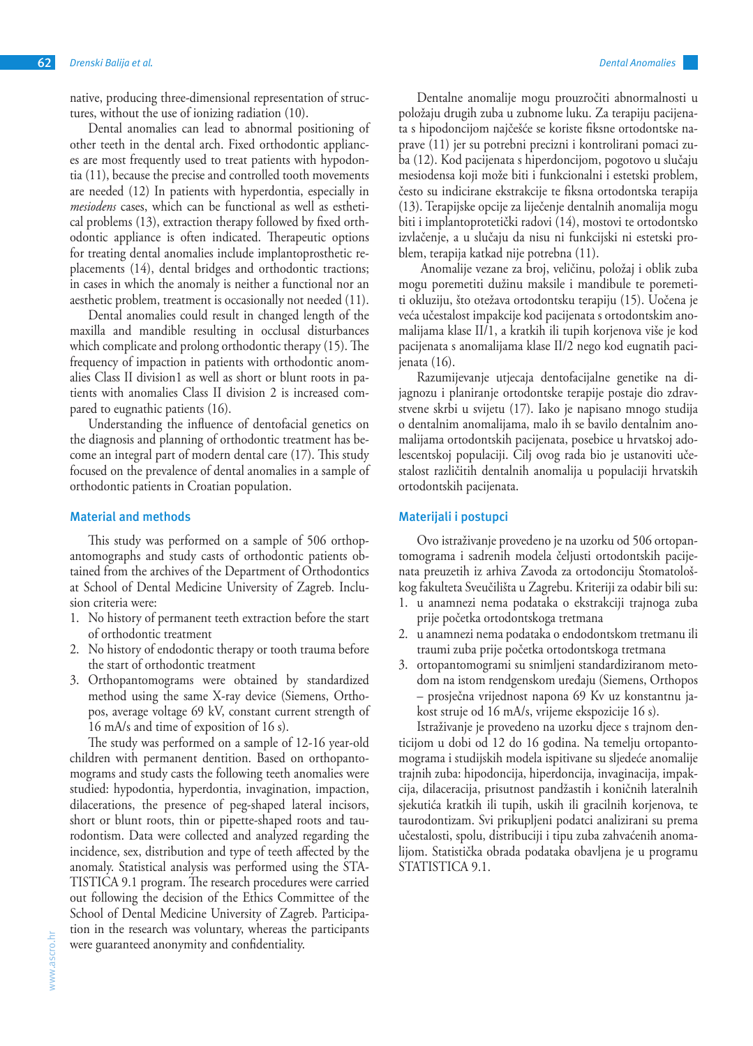native, producing three-dimensional representation of structures, without the use of ionizing radiation (10).

Dental anomalies can lead to abnormal positioning of other teeth in the dental arch. Fixed orthodontic appliances are most frequently used to treat patients with hypodontia (11), because the precise and controlled tooth movements are needed (12) In patients with hyperdontia, especially in *mesiodens* cases, which can be functional as well as esthetical problems (13), extraction therapy followed by fixed orthodontic appliance is often indicated. Therapeutic options for treating dental anomalies include implantoprosthetic replacements (14), dental bridges and orthodontic tractions; in cases in which the anomaly is neither a functional nor an aesthetic problem, treatment is occasionally not needed (11).

Dental anomalies could result in changed length of the maxilla and mandible resulting in occlusal disturbances which complicate and prolong orthodontic therapy (15). The frequency of impaction in patients with orthodontic anomalies Class II division1 as well as short or blunt roots in patients with anomalies Class II division 2 is increased compared to eugnathic patients (16).

Understanding the influence of dentofacial genetics on the diagnosis and planning of orthodontic treatment has become an integral part of modern dental care (17). This study focused on the prevalence of dental anomalies in a sample of orthodontic patients in Croatian population.

## **Material and methods**

This study was performed on a sample of 506 orthopantomographs and study casts of orthodontic patients obtained from the archives of the Department of Orthodontics at School of Dental Medicine University of Zagreb. Inclusion criteria were:

- 1. No history of permanent teeth extraction before the start of orthodontic treatment
- 2. No history of endodontic therapy or tooth trauma before the start of orthodontic treatment
- 3. Orthopantomograms were obtained by standardized method using the same X-ray device (Siemens, Orthopos, average voltage 69 kV, constant current strength of 16 mA/s and time of exposition of 16 s).

The study was performed on a sample of 12-16 year-old children with permanent dentition. Based on orthopantomograms and study casts the following teeth anomalies were studied: hypodontia, hyperdontia, invagination, impaction, dilacerations, the presence of peg-shaped lateral incisors, short or blunt roots, thin or pipette-shaped roots and taurodontism. Data were collected and analyzed regarding the incidence, sex, distribution and type of teeth affected by the anomaly. Statistical analysis was performed using the STA-TISTICA 9.1 program. The research procedures were carried out following the decision of the Ethics Committee of the School of Dental Medicine University of Zagreb. Participation in the research was voluntary, whereas the participants were guaranteed anonymity and confidentiality.

Dentalne anomalije mogu prouzročiti abnormalnosti u položaju drugih zuba u zubnome luku. Za terapiju pacijenata s hipodoncijom najčešće se koriste fiksne ortodontske naprave (11) jer su potrebni precizni i kontrolirani pomaci zuba (12). Kod pacijenata s hiperdoncijom, pogotovo u slučaju mesiodensa koji može biti i funkcionalni i estetski problem, često su indicirane ekstrakcije te fiksna ortodontska terapija (13). Terapijske opcije za liječenje dentalnih anomalija mogu biti i implantoprotetički radovi (14), mostovi te ortodontsko izvlačenje, a u slučaju da nisu ni funkcijski ni estetski problem, terapija katkad nije potrebna (11).

 Anomalije vezane za broj, veličinu, položaj i oblik zuba mogu poremetiti dužinu maksile i mandibule te poremetiti okluziju, što otežava ortodontsku terapiju (15). Uočena je veća učestalost impakcije kod pacijenata s ortodontskim anomalijama klase II/1, a kratkih ili tupih korjenova više je kod pacijenata s anomalijama klase II/2 nego kod eugnatih pacijenata (16).

Razumijevanje utjecaja dentofacijalne genetike na dijagnozu i planiranje ortodontske terapije postaje dio zdravstvene skrbi u svijetu (17). Iako je napisano mnogo studija o dentalnim anomalijama, malo ih se bavilo dentalnim anomalijama ortodontskih pacijenata, posebice u hrvatskoj adolescentskoj populaciji. Cilj ovog rada bio je ustanoviti učestalost različitih dentalnih anomalija u populaciji hrvatskih ortodontskih pacijenata.

## **Materijali i postupci**

Ovo istraživanje provedeno je na uzorku od 506 ortopantomograma i sadrenih modela čeljusti ortodontskih pacijenata preuzetih iz arhiva Zavoda za ortodonciju Stomatološkog fakulteta Sveučilišta u Zagrebu. Kriteriji za odabir bili su:

- 1. u anamnezi nema podataka o ekstrakciji trajnoga zuba prije početka ortodontskoga tretmana
- 2. u anamnezi nema podataka o endodontskom tretmanu ili traumi zuba prije početka ortodontskoga tretmana
- 3. ortopantomogrami su snimljeni standardiziranom metodom na istom rendgenskom uređaju (Siemens, Orthopos – prosječna vrijednost napona 69 Kv uz konstantnu jakost struje od 16 mA/s, vrijeme ekspozicije 16 s).

Istraživanje je provedeno na uzorku djece s trajnom denticijom u dobi od 12 do 16 godina. Na temelju ortopantomograma i studijskih modela ispitivane su sljedeće anomalije trajnih zuba: hipodoncija, hiperdoncija, invaginacija, impakcija, dilaceracija, prisutnost pandžastih i koničnih lateralnih sjekutića kratkih ili tupih, uskih ili gracilnih korjenova, te taurodontizam. Svi prikupljeni podatci analizirani su prema učestalosti, spolu, distribuciji i tipu zuba zahvaćenih anomalijom. Statistička obrada podataka obavljena je u programu STATISTICA 9.1.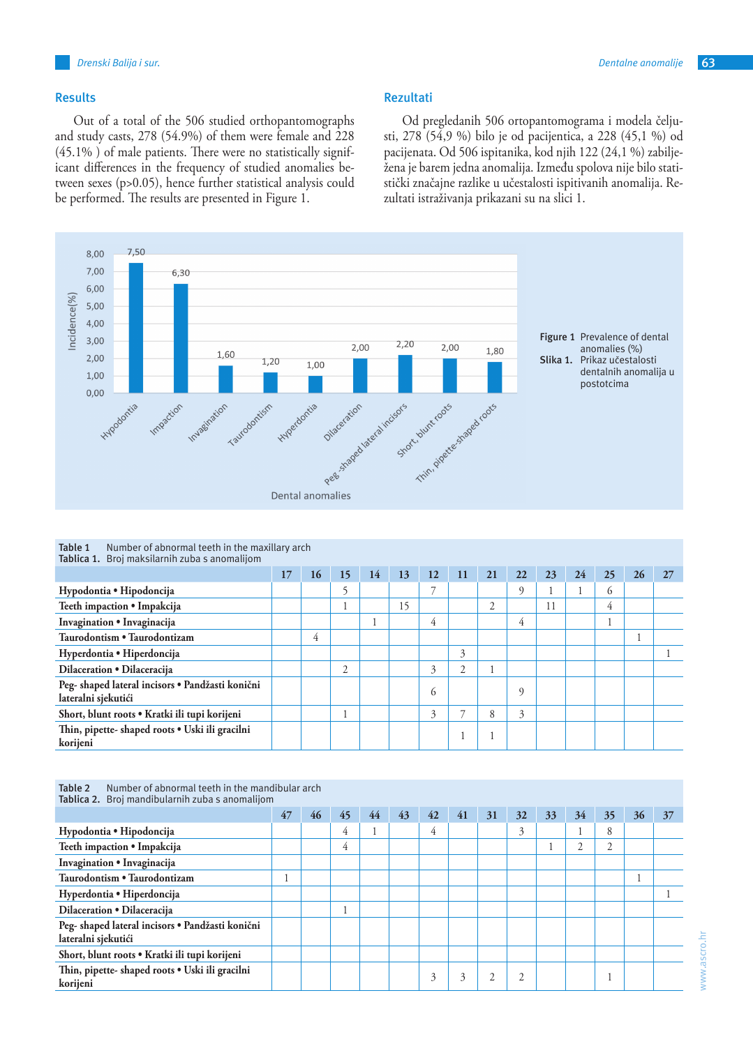## **Results**

Out of a total of the 506 studied orthopantomographs and study casts, 278 (54.9%) of them were female and 228 (45.1% ) of male patients. There were no statistically significant differences in the frequency of studied anomalies between sexes (p>0.05), hence further statistical analysis could be performed. The results are presented in Figure 1.

## **Rezultati**

Od pregledanih 506 ortopantomograma i modela čeljusti, 278 (54,9 %) bilo je od pacijentica, a 228 (45,1 %) od pacijenata. Od 506 ispitanika, kod njih 122 (24,1 %) zabilježena je barem jedna anomalija. Između spolova nije bilo statistički značajne razlike u učestalosti ispitivanih anomalija. Rezultati istraživanja prikazani su na slici 1.



**Table 1** Number of abnormal teeth in the maxillary arch **Tablica 1.** Broj maksilarnih zuba s anomalijom

| <b>Tablica 1.</b> Brof maksitamin zuba's anomalijom                     |    |    |    |    |    |                |    |    |    |    |    |     |    |    |
|-------------------------------------------------------------------------|----|----|----|----|----|----------------|----|----|----|----|----|-----|----|----|
|                                                                         | 17 | 16 | 15 | 14 | 13 | 12             | 11 | 21 | 22 | 23 | 24 | 25  | 26 | 27 |
| Hypodontia • Hipodoncija                                                |    |    |    |    |    |                |    |    | q  |    |    | (2) |    |    |
| Teeth impaction • Impakcija                                             |    |    |    |    | 15 |                |    | 2  |    | 11 |    | 4   |    |    |
| Invagination • Invaginacija                                             |    |    |    |    |    | 4              |    |    | 4  |    |    |     |    |    |
| Taurodontism . Taurodontizam                                            |    | 4  |    |    |    |                |    |    |    |    |    |     |    |    |
| Hyperdontia • Hiperdoncija                                              |    |    |    |    |    |                | 3  |    |    |    |    |     |    |    |
| Dilaceration • Dilaceracija                                             |    |    | 2  |    |    | 3              | 2  |    |    |    |    |     |    |    |
| Peg- shaped lateral incisors · Pandžasti konični<br>lateralni sjekutići |    |    |    |    |    | $\mathfrak{h}$ |    |    | C  |    |    |     |    |    |
| Short, blunt roots · Kratki ili tupi korijeni                           |    |    |    |    |    | 3              |    | 8  | 3  |    |    |     |    |    |
| Thin, pipette- shaped roots . Uski ili gracilni<br>korijeni             |    |    |    |    |    |                |    |    |    |    |    |     |    |    |

| Table 2 | Number of abnormal teeth in the mandibular arch        |
|---------|--------------------------------------------------------|
|         | <b>Tablica 2.</b> Broi mandibularnih zuba s anomalijom |

| Tablica 2. Broj mandibularnih zuba s anomalijom                         |    |    |    |    |    |    |    |        |    |    |          |          |    |    |
|-------------------------------------------------------------------------|----|----|----|----|----|----|----|--------|----|----|----------|----------|----|----|
|                                                                         | 47 | 46 | 45 | 44 | 43 | 42 | 41 | 31     | 32 | 33 | 34       | 35       | 36 | 37 |
| Hypodontia • Hipodoncija                                                |    |    | 4  |    |    | 4  |    |        | 3  |    |          | 8        |    |    |
| Teeth impaction . Impakcija                                             |    |    | 4  |    |    |    |    |        |    |    | $\gamma$ | $\gamma$ |    |    |
| Invagination • Invaginacija                                             |    |    |    |    |    |    |    |        |    |    |          |          |    |    |
| Taurodontism . Taurodontizam                                            |    |    |    |    |    |    |    |        |    |    |          |          |    |    |
| Hyperdontia • Hiperdoncija                                              |    |    |    |    |    |    |    |        |    |    |          |          |    |    |
| Dilaceration • Dilaceracija                                             |    |    |    |    |    |    |    |        |    |    |          |          |    |    |
| Peg- shaped lateral incisors · Pandžasti konični<br>lateralni sjekutići |    |    |    |    |    |    |    |        |    |    |          |          |    |    |
| Short, blunt roots • Kratki ili tupi korijeni                           |    |    |    |    |    |    |    |        |    |    |          |          |    |    |
| Thin, pipette- shaped roots . Uski ili gracilni<br>korijeni             |    |    |    |    |    | 3  | 3  | $\sim$ |    |    |          |          |    |    |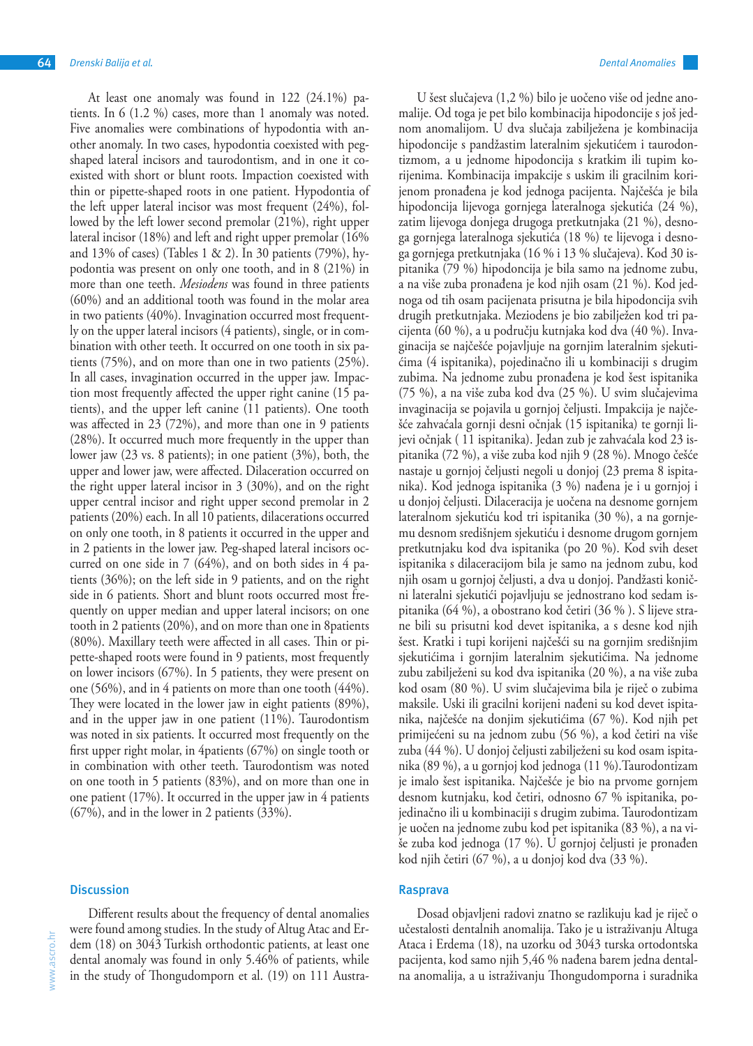At least one anomaly was found in 122 (24.1%) patients. In 6 (1.2 %) cases, more than 1 anomaly was noted. Five anomalies were combinations of hypodontia with another anomaly. In two cases, hypodontia coexisted with pegshaped lateral incisors and taurodontism, and in one it coexisted with short or blunt roots. Impaction coexisted with thin or pipette-shaped roots in one patient. Hypodontia of the left upper lateral incisor was most frequent (24%), followed by the left lower second premolar (21%), right upper lateral incisor (18%) and left and right upper premolar (16% and 13% of cases) (Tables 1 & 2). In 30 patients (79%), hypodontia was present on only one tooth, and in 8 (21%) in more than one teeth. *Mesiodens* was found in three patients (60%) and an additional tooth was found in the molar area in two patients (40%). Invagination occurred most frequently on the upper lateral incisors (4 patients), single, or in combination with other teeth. It occurred on one tooth in six patients (75%), and on more than one in two patients (25%). In all cases, invagination occurred in the upper jaw. Impaction most frequently affected the upper right canine (15 patients), and the upper left canine (11 patients). One tooth was affected in 23 (72%), and more than one in 9 patients (28%). It occurred much more frequently in the upper than lower jaw (23 vs. 8 patients); in one patient (3%), both, the upper and lower jaw, were affected. Dilaceration occurred on the right upper lateral incisor in 3 (30%), and on the right upper central incisor and right upper second premolar in 2 patients (20%) each. In all 10 patients, dilacerations occurred on only one tooth, in 8 patients it occurred in the upper and in 2 patients in the lower jaw. Peg-shaped lateral incisors occurred on one side in 7 (64%), and on both sides in 4 patients (36%); on the left side in 9 patients, and on the right side in 6 patients. Short and blunt roots occurred most frequently on upper median and upper lateral incisors; on one tooth in 2 patients (20%), and on more than one in 8patients (80%). Maxillary teeth were affected in all cases. Thin or pipette-shaped roots were found in 9 patients, most frequently on lower incisors (67%). In 5 patients, they were present on one (56%), and in 4 patients on more than one tooth (44%). They were located in the lower jaw in eight patients (89%), and in the upper jaw in one patient (11%). Taurodontism was noted in six patients. It occurred most frequently on the first upper right molar, in 4patients (67%) on single tooth or in combination with other teeth. Taurodontism was noted on one tooth in 5 patients (83%), and on more than one in one patient (17%). It occurred in the upper jaw in 4 patients (67%), and in the lower in 2 patients (33%).

## **Discussion**

www.ascro.hr www.ascro.hr

Different results about the frequency of dental anomalies were found among studies. In the study of Altug Atac and Erdem (18) on 3043 Turkish orthodontic patients, at least one dental anomaly was found in only 5.46% of patients, while in the study of Thongudomporn et al. (19) on 111 Austra-

U šest slučajeva (1,2 %) bilo je uočeno više od jedne anomalije. Od toga je pet bilo kombinacija hipodoncije s još jednom anomalijom. U dva slučaja zabilježena je kombinacija hipodoncije s pandžastim lateralnim sjekutićem i taurodontizmom, a u jednome hipodoncija s kratkim ili tupim korijenima. Kombinacija impakcije s uskim ili gracilnim korijenom pronađena je kod jednoga pacijenta. Najčešća je bila hipodoncija lijevoga gornjega lateralnoga sjekutića (24 %), zatim lijevoga donjega drugoga pretkutnjaka (21 %), desnoga gornjega lateralnoga sjekutića (18 %) te lijevoga i desnoga gornjega pretkutnjaka (16 % i 13 % slučajeva). Kod 30 ispitanika (79 %) hipodoncija je bila samo na jednome zubu, a na više zuba pronađena je kod njih osam (21 %). Kod jednoga od tih osam pacijenata prisutna je bila hipodoncija svih drugih pretkutnjaka. Meziodens je bio zabilježen kod tri pacijenta (60 %), a u području kutnjaka kod dva (40 %). Invaginacija se najčešće pojavljuje na gornjim lateralnim sjekutićima (4 ispitanika), pojedinačno ili u kombinaciji s drugim zubima. Na jednome zubu pronađena je kod šest ispitanika (75 %), a na više zuba kod dva (25 %). U svim slučajevima invaginacija se pojavila u gornjoj čeljusti. Impakcija je najčešće zahvaćala gornji desni očnjak (15 ispitanika) te gornji lijevi očnjak ( 11 ispitanika). Jedan zub je zahvaćala kod 23 ispitanika (72 %), a više zuba kod njih 9 (28 %). Mnogo češće nastaje u gornjoj čeljusti negoli u donjoj (23 prema 8 ispitanika). Kod jednoga ispitanika (3 %) nađena je i u gornjoj i u donjoj čeljusti. Dilaceracija je uočena na desnome gornjem lateralnom sjekutiću kod tri ispitanika (30 %), a na gornjemu desnom središnjem sjekutiću i desnome drugom gornjem pretkutnjaku kod dva ispitanika (po 20 %). Kod svih deset ispitanika s dilaceracijom bila je samo na jednom zubu, kod njih osam u gornjoj čeljusti, a dva u donjoj. Pandžasti konični lateralni sjekutići pojavljuju se jednostrano kod sedam ispitanika (64 %), a obostrano kod četiri (36 % ). S lijeve strane bili su prisutni kod devet ispitanika, a s desne kod njih šest. Kratki i tupi korijeni najčešći su na gornjim središnjim sjekutićima i gornjim lateralnim sjekutićima. Na jednome zubu zabilježeni su kod dva ispitanika (20 %), a na više zuba kod osam (80 %). U svim slučajevima bila je riječ o zubima maksile. Uski ili gracilni korijeni nađeni su kod devet ispitanika, najčešće na donjim sjekutićima (67 %). Kod njih pet primijećeni su na jednom zubu (56 %), a kod četiri na više zuba (44 %). U donjoj čeljusti zabilježeni su kod osam ispitanika (89 %), a u gornjoj kod jednoga (11 %).Taurodontizam je imalo šest ispitanika. Najčešće je bio na prvome gornjem desnom kutnjaku, kod četiri, odnosno 67 % ispitanika, pojedinačno ili u kombinaciji s drugim zubima. Taurodontizam je uočen na jednome zubu kod pet ispitanika (83 %), a na više zuba kod jednoga (17 %). U gornjoj čeljusti je pronađen kod njih četiri (67 %), a u donjoj kod dva (33 %).

## **Rasprava**

Dosad objavljeni radovi znatno se razlikuju kad je riječ o učestalosti dentalnih anomalija. Tako je u istraživanju Altuga Ataca i Erdema (18), na uzorku od 3043 turska ortodontska pacijenta, kod samo njih 5,46 % nađena barem jedna dentalna anomalija, a u istraživanju Thongudomporna i suradnika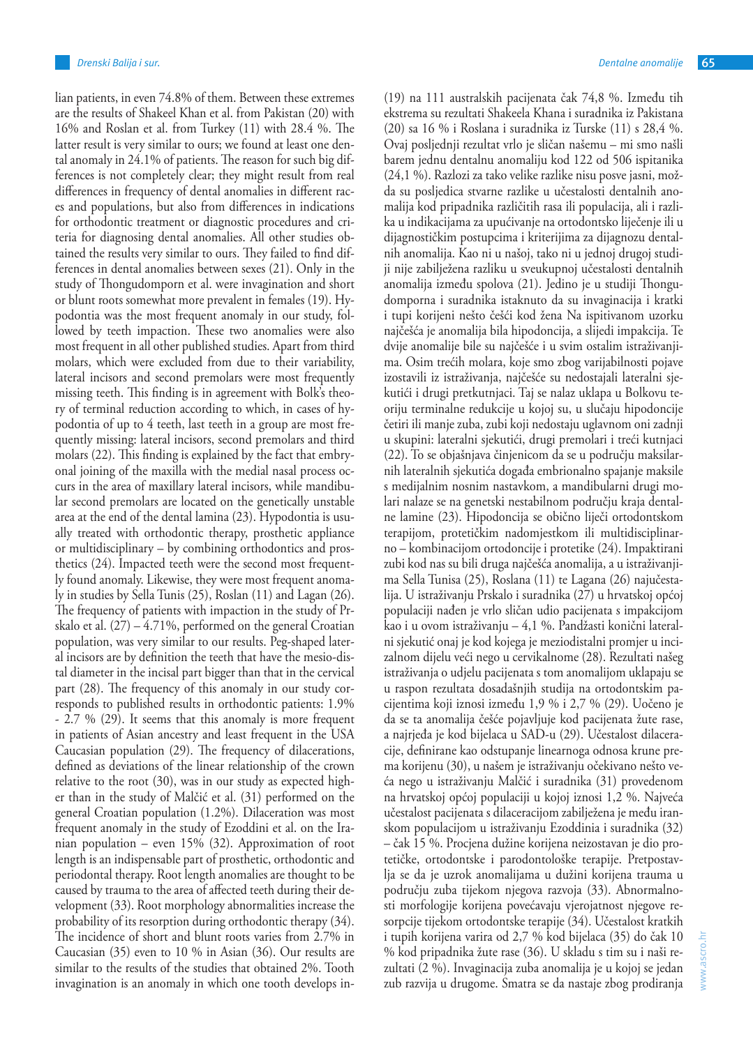lian patients, in even 74.8% of them. Between these extremes are the results of Shakeel Khan et al. from Pakistan (20) with 16% and Roslan et al. from Turkey (11) with 28.4 %. The latter result is very similar to ours; we found at least one dental anomaly in 24.1% of patients. The reason for such big differences is not completely clear; they might result from real differences in frequency of dental anomalies in different races and populations, but also from differences in indications for orthodontic treatment or diagnostic procedures and criteria for diagnosing dental anomalies. All other studies obtained the results very similar to ours. They failed to find differences in dental anomalies between sexes (21). Only in the study of Thongudomporn et al. were invagination and short or blunt roots somewhat more prevalent in females (19). Hypodontia was the most frequent anomaly in our study, followed by teeth impaction. These two anomalies were also most frequent in all other published studies. Apart from third molars, which were excluded from due to their variability, lateral incisors and second premolars were most frequently missing teeth. This finding is in agreement with Bolk's theory of terminal reduction according to which, in cases of hypodontia of up to 4 teeth, last teeth in a group are most frequently missing: lateral incisors, second premolars and third molars (22). This finding is explained by the fact that embryonal joining of the maxilla with the medial nasal process occurs in the area of maxillary lateral incisors, while mandibular second premolars are located on the genetically unstable area at the end of the dental lamina (23). Hypodontia is usually treated with orthodontic therapy, prosthetic appliance or multidisciplinary – by combining orthodontics and prosthetics (24). Impacted teeth were the second most frequently found anomaly. Likewise, they were most frequent anomaly in studies by Sella Tunis (25), Roslan (11) and Lagan (26). The frequency of patients with impaction in the study of Prskalo et al. (27) – 4.71%, performed on the general Croatian population, was very similar to our results. Peg-shaped lateral incisors are by definition the teeth that have the mesio-distal diameter in the incisal part bigger than that in the cervical part (28). The frequency of this anomaly in our study corresponds to published results in orthodontic patients: 1.9% - 2.7 % (29). It seems that this anomaly is more frequent in patients of Asian ancestry and least frequent in the USA Caucasian population (29). The frequency of dilacerations, defined as deviations of the linear relationship of the crown relative to the root (30), was in our study as expected higher than in the study of Malčić et al. (31) performed on the general Croatian population (1.2%). Dilaceration was most frequent anomaly in the study of Ezoddini et al. on the Iranian population – even 15% (32). Approximation of root length is an indispensable part of prosthetic, orthodontic and periodontal therapy. Root length anomalies are thought to be caused by trauma to the area of affected teeth during their development (33). Root morphology abnormalities increase the probability of its resorption during orthodontic therapy (34). The incidence of short and blunt roots varies from 2.7% in Caucasian (35) even to 10 % in Asian (36). Our results are similar to the results of the studies that obtained 2%. Tooth invagination is an anomaly in which one tooth develops in(19) na 111 australskih pacijenata čak 74,8 %. Između tih ekstrema su rezultati Shakeela Khana i suradnika iz Pakistana (20) sa 16 % i Roslana i suradnika iz Turske (11) s 28,4 %. Ovaj posljednji rezultat vrlo je sličan našemu – mi smo našli barem jednu dentalnu anomaliju kod 122 od 506 ispitanika (24,1 %). Razlozi za tako velike razlike nisu posve jasni, možda su posljedica stvarne razlike u učestalosti dentalnih anomalija kod pripadnika različitih rasa ili populacija, ali i razlika u indikacijama za upućivanje na ortodontsko liječenje ili u dijagnostičkim postupcima i kriterijima za dijagnozu dentalnih anomalija. Kao ni u našoj, tako ni u jednoj drugoj studiji nije zabilježena razliku u sveukupnoj učestalosti dentalnih anomalija između spolova (21). Jedino je u studiji Thongudomporna i suradnika istaknuto da su invaginacija i kratki i tupi korijeni nešto češći kod žena Na ispitivanom uzorku najčešća je anomalija bila hipodoncija, a slijedi impakcija. Te dvije anomalije bile su najčešće i u svim ostalim istraživanjima. Osim trećih molara, koje smo zbog varijabilnosti pojave izostavili iz istraživanja, najčešće su nedostajali lateralni sjekutići i drugi pretkutnjaci. Taj se nalaz uklapa u Bolkovu teoriju terminalne redukcije u kojoj su, u slučaju hipodoncije četiri ili manje zuba, zubi koji nedostaju uglavnom oni zadnji u skupini: lateralni sjekutići, drugi premolari i treći kutnjaci (22). To se objašnjava činjenicom da se u području maksilarnih lateralnih sjekutića događa embrionalno spajanje maksile s medijalnim nosnim nastavkom, a mandibularni drugi molari nalaze se na genetski nestabilnom području kraja dentalne lamine (23). Hipodoncija se obično liječi ortodontskom terapijom, protetičkim nadomjestkom ili multidisciplinarno – kombinacijom ortodoncije i protetike (24). Impaktirani zubi kod nas su bili druga najčešća anomalija, a u istraživanjima Sella Tunisa (25), Roslana (11) te Lagana (26) najučestalija. U istraživanju Prskalo i suradnika (27) u hrvatskoj općoj populaciji nađen je vrlo sličan udio pacijenata s impakcijom kao i u ovom istraživanju – 4,1 %. Pandžasti konični lateralni sjekutić onaj je kod kojega je meziodistalni promjer u incizalnom dijelu veći nego u cervikalnome (28). Rezultati našeg istraživanja o udjelu pacijenata s tom anomalijom uklapaju se u raspon rezultata dosadašnjih studija na ortodontskim pacijentima koji iznosi između 1,9 % i 2,7 % (29). Uočeno je da se ta anomalija češće pojavljuje kod pacijenata žute rase, a najrjeđa je kod bijelaca u SAD-u (29). Učestalost dilaceracije, definirane kao odstupanje linearnoga odnosa krune prema korijenu (30), u našem je istraživanju očekivano nešto veća nego u istraživanju Malčić i suradnika (31) provedenom na hrvatskoj općoj populaciji u kojoj iznosi 1,2 %. Najveća učestalost pacijenata s dilaceracijom zabilježena je među iranskom populacijom u istraživanju Ezoddinia i suradnika (32) – čak 15 %. Procjena dužine korijena neizostavan je dio protetičke, ortodontske i parodontološke terapije. Pretpostavlja se da je uzrok anomalijama u dužini korijena trauma u području zuba tijekom njegova razvoja (33). Abnormalnosti morfologije korijena povećavaju vjerojatnost njegove resorpcije tijekom ortodontske terapije (34). Učestalost kratkih i tupih korijena varira od 2,7 % kod bijelaca (35) do čak 10 % kod pripadnika žute rase (36). U skladu s tim su i naši rezultati (2 %). Invaginacija zuba anomalija je u kojoj se jedan zub razvija u drugome. Smatra se da nastaje zbog prodiranja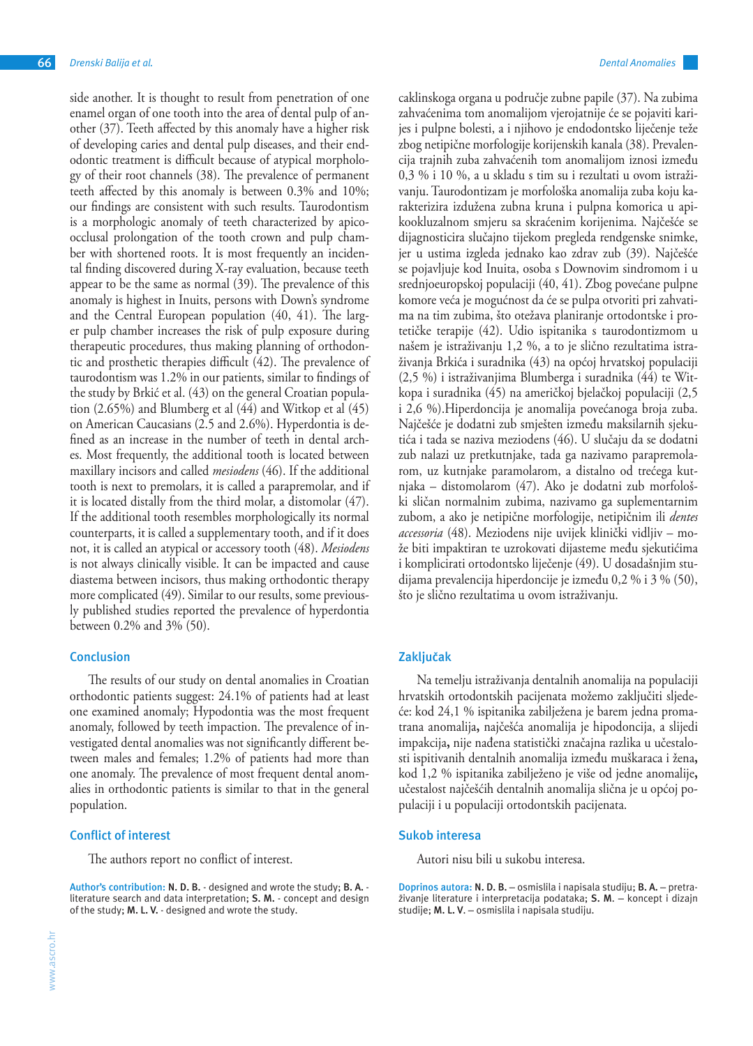side another. It is thought to result from penetration of one enamel organ of one tooth into the area of dental pulp of another (37). Teeth affected by this anomaly have a higher risk of developing caries and dental pulp diseases, and their endodontic treatment is difficult because of atypical morphology of their root channels (38). The prevalence of permanent teeth affected by this anomaly is between 0.3% and 10%; our findings are consistent with such results. Taurodontism is a morphologic anomaly of teeth characterized by apicoocclusal prolongation of the tooth crown and pulp chamber with shortened roots. It is most frequently an incidental finding discovered during X-ray evaluation, because teeth appear to be the same as normal (39). The prevalence of this anomaly is highest in Inuits, persons with Down's syndrome and the Central European population (40, 41). The larger pulp chamber increases the risk of pulp exposure during therapeutic procedures, thus making planning of orthodontic and prosthetic therapies difficult (42). The prevalence of taurodontism was 1.2% in our patients, similar to findings of the study by Brkić et al. (43) on the general Croatian population (2.65%) and Blumberg et al (44) and Witkop et al (45) on American Caucasians (2.5 and 2.6%). Hyperdontia is defined as an increase in the number of teeth in dental arches. Most frequently, the additional tooth is located between maxillary incisors and called *mesiodens* (46). If the additional tooth is next to premolars, it is called a parapremolar, and if it is located distally from the third molar, a distomolar (47). If the additional tooth resembles morphologically its normal counterparts, it is called a supplementary tooth, and if it does not, it is called an atypical or accessory tooth (48). *Mesiodens*  is not always clinically visible. It can be impacted and cause diastema between incisors, thus making orthodontic therapy more complicated (49). Similar to our results, some previously published studies reported the prevalence of hyperdontia between 0.2% and 3% (50).

# **Conclusion**

The results of our study on dental anomalies in Croatian orthodontic patients suggest: 24.1% of patients had at least one examined anomaly; Hypodontia was the most frequent anomaly, followed by teeth impaction. The prevalence of investigated dental anomalies was not significantly different between males and females; 1.2% of patients had more than one anomaly. The prevalence of most frequent dental anomalies in orthodontic patients is similar to that in the general population.

## **Conflict of interest**

The authors report no conflict of interest.

**Author's contribution: N. D. B.** - designed and wrote the study; **B. A.** literature search and data interpretation; **S. M.** - concept and design of the study; **M. L. V.** - designed and wrote the study.

caklinskoga organa u područje zubne papile (37). Na zubima zahvaćenima tom anomalijom vjerojatnije će se pojaviti karijes i pulpne bolesti, a i njihovo je endodontsko liječenje teže zbog netipične morfologije korijenskih kanala (38). Prevalencija trajnih zuba zahvaćenih tom anomalijom iznosi između 0,3 % i 10 %, a u skladu s tim su i rezultati u ovom istraživanju. Taurodontizam je morfološka anomalija zuba koju karakterizira izdužena zubna kruna i pulpna komorica u apikookluzalnom smjeru sa skraćenim korijenima. Najčešće se dijagnosticira slučajno tijekom pregleda rendgenske snimke, jer u ustima izgleda jednako kao zdrav zub (39). Najčešće se pojavljuje kod Inuita, osoba s Downovim sindromom i u srednjoeuropskoj populaciji (40, 41). Zbog povećane pulpne komore veća je mogućnost da će se pulpa otvoriti pri zahvatima na tim zubima, što otežava planiranje ortodontske i protetičke terapije (42). Udio ispitanika s taurodontizmom u našem je istraživanju 1,2 %, a to je slično rezultatima istraživanja Brkića i suradnika (43) na općoj hrvatskoj populaciji (2,5 %) i istraživanjima Blumberga i suradnika (44) te Witkopa i suradnika (45) na američkoj bjelačkoj populaciji (2,5 i 2,6 %).Hiperdoncija je anomalija povećanoga broja zuba. Najčešće je dodatni zub smješten između maksilarnih sjekutića i tada se naziva meziodens (46). U slučaju da se dodatni zub nalazi uz pretkutnjake, tada ga nazivamo parapremolarom, uz kutnjake paramolarom, a distalno od trećega kutnjaka – distomolarom (47). Ako je dodatni zub morfološki sličan normalnim zubima, nazivamo ga suplementarnim zubom, a ako je netipične morfologije, netipičnim ili *dentes accessoria* (48). Meziodens nije uvijek klinički vidljiv – može biti impaktiran te uzrokovati dijasteme među sjekutićima i komplicirati ortodontsko liječenje (49). U dosadašnjim studijama prevalencija hiperdoncije je između 0,2 % i 3 % (50), što je slično rezultatima u ovom istraživanju.

## **Zaključak**

Na temelju istraživanja dentalnih anomalija na populaciji hrvatskih ortodontskih pacijenata možemo zaključiti sljedeće: kod 24,1 % ispitanika zabilježena je barem jedna promatrana anomalija**,** najčešća anomalija je hipodoncija, a slijedi impakcija**,** nije nađena statistički značajna razlika u učestalosti ispitivanih dentalnih anomalija između muškaraca i žena**,**  kod 1,2 % ispitanika zabilježeno je više od jedne anomalije**,**  učestalost najčešćih dentalnih anomalija slična je u općoj populaciji i u populaciji ortodontskih pacijenata.

### **Sukob interesa**

Autori nisu bili u sukobu interesa.

**Doprinos autora: N. D. B.** – osmislila i napisala studiju; **B. A.** – pretraživanje literature i interpretacija podataka; **S. M**. – koncept i dizajn studije; **M. L. V**. – osmislila i napisala studiju.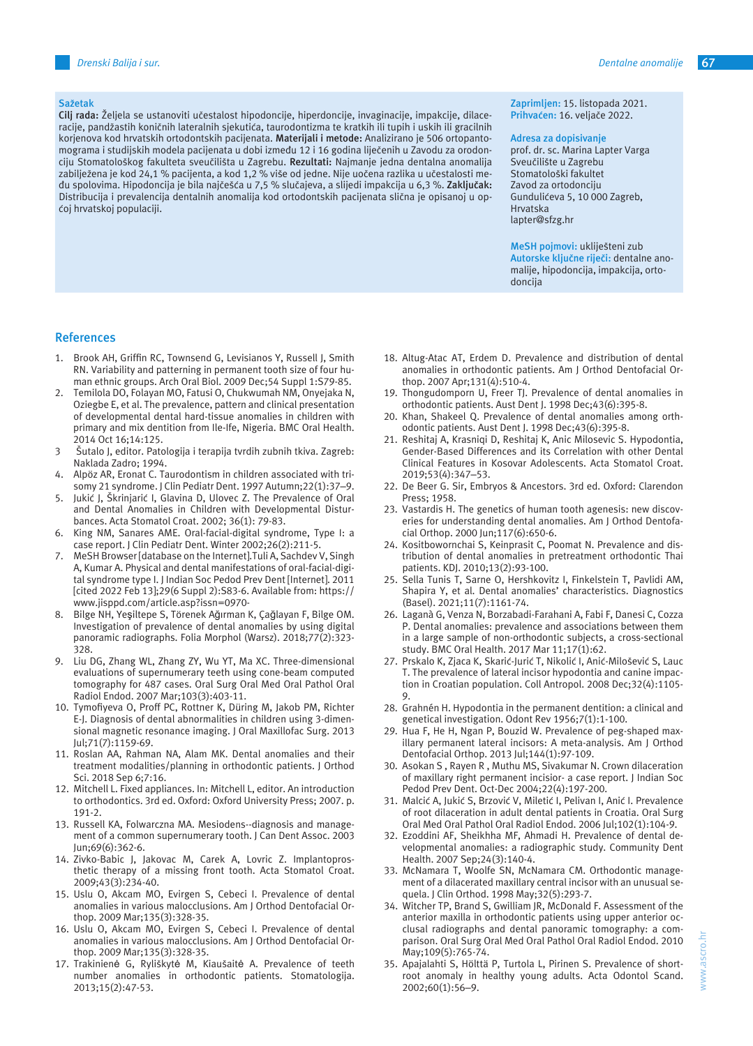## *Drenski Balija i sur. Dentalne anomalije* **67**

#### **Sažetak**

**Cilj rada:** Željela se ustanoviti učestalost hipodoncije, hiperdoncije, invaginacije, impakcije, dilaceracije, pandžastih koničnih lateralnih sjekutića, taurodontizma te kratkih ili tupih i uskih ili gracilnih korjenova kod hrvatskih ortodontskih pacijenata. **Materijali i metode:** Analizirano je 506 ortopantomograma i studijskih modela pacijenata u dobi između 12 i 16 godina liječenih u Zavodu za orodonciju Stomatološkog fakulteta sveučilišta u Zagrebu. **Rezultati:** Najmanje jedna dentalna anomalija zabilježena je kod 24,1 % pacijenta, a kod 1,2 % više od jedne. Nije uočena razlika u učestalosti među spolovima. Hipodoncija je bila najčešća u 7,5 % slučajeva, a slijedi impakcija u 6,3 %. **Zaključak:**  Distribucija i prevalencija dentalnih anomalija kod ortodontskih pacijenata slična je opisanoj u općoj hrvatskoj populaciji.

### **Zaprimljen:** 15. listopada 2021. **Prihvaćen:** 16. veljače 2022.

#### **Adresa za dopisivanje**

prof. dr. sc. Marina Lapter Varga Sveučilište u Zagrebu Stomatološki fakultet Zavod za ortodonciju Gundulićeva 5, 10 000 Zagreb, Hrvatska lapter@sfzg.hr

**MeSH pojmovi:** ukliješteni zub **Autorske ključne riječi:** dentalne anomalije, hipodoncija, impakcija, ortodoncija

## **References**

- 1. Brook AH, Griffin RC, Townsend G, Levisianos Y, Russell J, Smith RN. Variability and patterning in permanent tooth size of four human ethnic groups. Arch Oral Biol. 2009 Dec;54 Suppl 1:S79-85.
- 2. Temilola DO, Folayan MO, Fatusi O, Chukwumah NM, Onyejaka N, Oziegbe E, et al. The prevalence, pattern and clinical presentation of developmental dental hard-tissue anomalies in children with primary and mix dentition from Ile-Ife, Nigeria. BMC Oral Health. 2014 Oct 16;14:125.
- 3 Šutalo J, editor. Patologija i terapija tvrdih zubnih tkiva. Zagreb: Naklada Zadro; 1994.
- 4. Alpöz AR, Eronat C. Taurodontism in children associated with trisomy 21 syndrome. J Clin Pediatr Dent. 1997 Autumn;22(1):37–9.
- 5. Jukić J, Škrinjarić I, Glavina D, Ulovec Z. The Prevalence of Oral and Dental Anomalies in Children with Developmental Disturbances. Acta Stomatol Croat. 2002; 36(1): 79-83.
- 6. King NM, Sanares AME. Oral-facial-digital syndrome, Type I: a case report. J Clin Pediatr Dent. Winter 2002;26(2):211-5.
- 7. MeSH Browser [database on the Internet]. Tuli A, Sachdev V, Singh A, Kumar A. Physical and dental manifestations of oral-facial-digital syndrome type I. J Indian Soc Pedod Prev Dent [Internet]. 2011 [cited 2022 Feb 13];29(6 Suppl 2):S83-6. Available from: https:// www.jisppd.com/article.asp?issn=0970-
- 8. Bilge NH, Yeşiltepe S, Törenek Ağırman K, Çağlayan F, Bilge OM. Investigation of prevalence of dental anomalies by using digital panoramic radiographs. Folia Morphol (Warsz). 2018;77(2):323- 328.
- 9. Liu DG, Zhang WL, Zhang ZY, Wu YT, Ma XC. Three-dimensional evaluations of supernumerary teeth using cone-beam computed tomography for 487 cases. Oral Surg Oral Med Oral Pathol Oral Radiol Endod. 2007 Mar;103(3):403-11.
- 10. Tymofiyeva O, Proff PC, Rottner K, Düring M, Jakob PM, Richter E-J. Diagnosis of dental abnormalities in children using 3-dimensional magnetic resonance imaging. J Oral Maxillofac Surg. 2013 Jul;71(7):1159-69.
- 11. Roslan AA, Rahman NA, Alam MK. Dental anomalies and their treatment modalities/planning in orthodontic patients. J Orthod Sci. 2018 Sep 6;7:16.
- 12. Mitchell L. Fixed appliances. In: Mitchell L, editor. An introduction to orthodontics. 3rd ed. Oxford: Oxford University Press; 2007. p. 191-2.
- 13. Russell KA, Folwarczna MA. Mesiodens--diagnosis and management of a common supernumerary tooth. J Can Dent Assoc. 2003 Jun;69(6):362-6.
- 14. Zivko-Babic J, Jakovac M, Carek A, Lovric Z. Implantoprosthetic therapy of a missing front tooth. Acta Stomatol Croat. 2009;43(3):234-40.
- 15. Uslu O, Akcam MO, Evirgen S, Cebeci I. Prevalence of dental anomalies in various malocclusions. Am J Orthod Dentofacial Orthop. 2009 Mar;135(3):328-35.
- 16. Uslu O, Akcam MO, Evirgen S, Cebeci I. Prevalence of dental anomalies in various malocclusions. Am J Orthod Dentofacial Orthop. 2009 Mar;135(3):328-35.
- 17. Trakinienė G, Ryliškytė M, Kiaušaitė A. Prevalence of teeth number anomalies in orthodontic patients. Stomatologija. 2013;15(2):47-53.
- 18. Altug-Atac AT, Erdem D. Prevalence and distribution of dental anomalies in orthodontic patients. Am J Orthod Dentofacial Orthop. 2007 Apr;131(4):510-4.
- 19. Thongudomporn U, Freer TJ. Prevalence of dental anomalies in orthodontic patients. Aust Dent J. 1998 Dec;43(6):395-8.
- 20. Khan, Shakeel Q. Prevalence of dental anomalies among orthodontic patients. Aust Dent J. 1998 Dec;43(6):395-8.
- 21. Reshitaj A, Krasniqi D, Reshitaj K, Anic Milosevic S. Hypodontia, Gender-Based Differences and its Correlation with other Dental Clinical Features in Kosovar Adolescents. Acta Stomatol Croat. 2019;53(4):347–53.
- 22. De Beer G. Sir, Embryos & Ancestors. 3rd ed. Oxford: Clarendon Press; 1958.
- 23. Vastardis H. The genetics of human tooth agenesis: new discoveries for understanding dental anomalies. Am J Orthod Dentofacial Orthop. 2000 Jun;117(6):650-6.
- 24. Kositbowornchai S, Keinprasit C, Poomat N. Prevalence and distribution of dental anomalies in pretreatment orthodontic Thai patients. KDJ. 2010;13(2):93-100.
- 25. Sella Tunis T, Sarne O, Hershkovitz I, Finkelstein T, Pavlidi AM, Shapira Y, et al. Dental anomalies' characteristics. Diagnostics (Basel). 2021;11(7):1161-74.
- 26. Laganà G, Venza N, Borzabadi-Farahani A, Fabi F, Danesi C, Cozza P. Dental anomalies: prevalence and associations between them in a large sample of non-orthodontic subjects, a cross-sectional study. BMC Oral Health. 2017 Mar 11;17(1):62.
- 27. Prskalo K, Zjaca K, Skarić-Jurić T, Nikolić I, Anić-Milošević S, Lauc T. The prevalence of lateral incisor hypodontia and canine impaction in Croatian population. Coll Antropol. 2008 Dec;32(4):1105- 9.
- 28. Grahnén H. Hypodontia in the permanent dentition: a clinical and genetical investigation. Odont Rev 1956;7(1):1-100.
- 29. Hua F, He H, Ngan P, Bouzid W. Prevalence of peg-shaped maxillary permanent lateral incisors: A meta-analysis. Am J Orthod Dentofacial Orthop. 2013 Jul;144(1):97-109.
- 30. Asokan S, Rayen R, Muthu MS, Sivakumar N. Crown dilaceration of maxillary right permanent incisior- a case report. J Indian Soc Pedod Prev Dent. Oct-Dec 2004;22(4):197-200.
- 31. Malcić A, Jukić S, Brzović V, Miletić I, Pelivan I, Anić I. Prevalence of root dilaceration in adult dental patients in Croatia. Oral Surg Oral Med Oral Pathol Oral Radiol Endod. 2006 Jul;102(1):104-9.
- 32. Ezoddini AF, Sheikhha MF, Ahmadi H. Prevalence of dental developmental anomalies: a radiographic study. Community Dent Health. 2007 Sep;24(3):140-4.
- 33. McNamara T, Woolfe SN, McNamara CM. Orthodontic management of a dilacerated maxillary central incisor with an unusual sequela. J Clin Orthod. 1998 May;32(5):293-7.
- 34. Witcher TP, Brand S, Gwilliam JR, McDonald F. Assessment of the anterior maxilla in orthodontic patients using upper anterior occlusal radiographs and dental panoramic tomography: a comparison. Oral Surg Oral Med Oral Pathol Oral Radiol Endod. 2010 May;109(5):765-74.
- 35. Apajalahti S, Hölttä P, Turtola L, Pirinen S. Prevalence of shortroot anomaly in healthy young adults. Acta Odontol Scand. 2002;60(1):56–9.